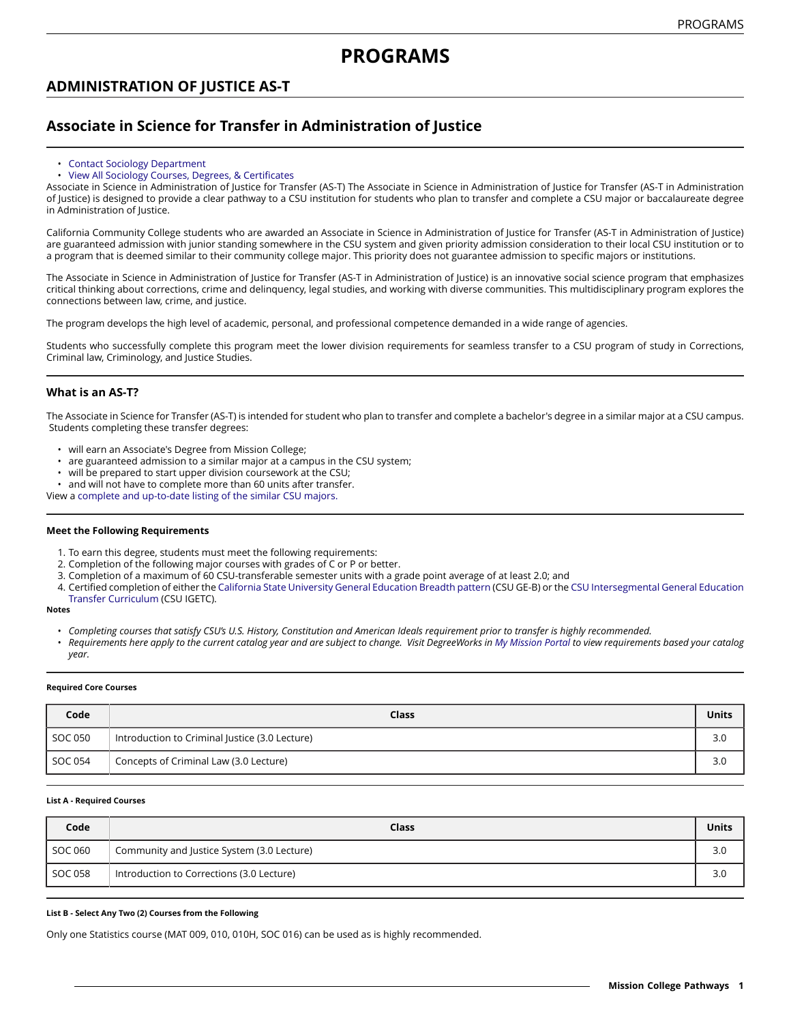# **ADMINISTRATION OF JUSTICE AS-T**

# **Associate in Science for Transfer in Administration of Justice**

## • [Contact Sociology Department](http://majors.missioncollege.edu/current/courses/soc.html)

## • View All Sociology Courses, Degrees, & [Certificates](http://majors.missioncollege.edu/current/courses/soc.html)

Associate in Science in Administration of Justice for Transfer (AS-T) The Associate in Science in Administration of Justice for Transfer (AS-T in Administration of Justice) is designed to provide a clear pathway to a CSU institution for students who plan to transfer and complete a CSU major or baccalaureate degree in Administration of Justice.

California Community College students who are awarded an Associate in Science in Administration of Justice for Transfer (AS-T in Administration of Justice) are guaranteed admission with junior standing somewhere in the CSU system and given priority admission consideration to their local CSU institution or to a program that is deemed similar to their community college major. This priority does not guarantee admission to specific majors or institutions.

The Associate in Science in Administration of Justice for Transfer (AS-T in Administration of Justice) is an innovative social science program that emphasizes critical thinking about corrections, crime and delinquency, legal studies, and working with diverse communities. This multidisciplinary program explores the connections between law, crime, and justice.

The program develops the high level of academic, personal, and professional competence demanded in a wide range of agencies.

Students who successfully complete this program meet the lower division requirements for seamless transfer to a CSU program of study in Corrections, Criminal law, Criminology, and Justice Studies.

# **What is an AS-T?**

The Associate in Science for Transfer (AS-T) is intended for student who plan to transfer and complete a bachelor's degree in a similar major at a CSU campus. Students completing these transfer degrees:

- will earn an Associate's Degree from Mission College;
- are guaranteed admission to a similar major at a campus in the CSU system;
- will be prepared to start upper division coursework at the CSU;
- and will not have to complete more than 60 units after transfer.

View a [complete and up-to-date listing of the similar CSU majors.](http://www.adegreewithaguarantee.com/)

## **Meet the Following Requirements**

- 1. To earn this degree, students must meet the following requirements:
- 2. Completion of the following major courses with grades of C or P or better.
- 3. Completion of a maximum of 60 CSU-transferable semester units with a grade point average of at least 2.0; and
- 4. Certified completion of either the California State [University](http://majors.missioncollege.edu/current/programs/csugeb-summary-reqs.html) General Education Breadth pattern (CSU GE-B) or the CSU [Intersegmental](http://majors.missioncollege.edu/current/programs/igetc-summary-reqs.html) General Education Transfer [Curriculum](http://majors.missioncollege.edu/current/programs/igetc-summary-reqs.html) (CSU IGETC).

#### **Notes**

- Completing courses that satisfy CSU's U.S. History, Constitution and American Ideals requirement prior to transfer is highly recommended.
- Requirements here apply to the current catalog year and are subject to change. Visit DegreeWorks in [My Mission Portal](https://wvmccd.sharepoint.com/sites/MCPortal) to view requirements based your catalog *year.*

#### **Required Core Courses**

| Code    | Class                                          | Units |
|---------|------------------------------------------------|-------|
| SOC 050 | Introduction to Criminal Justice (3.0 Lecture) | 3.0   |
| SOC 054 | Concepts of Criminal Law (3.0 Lecture)         | 3.0   |

## **List A - Required Courses**

| Code    | <b>Class</b>                               | <b>Units</b> |
|---------|--------------------------------------------|--------------|
| SOC 060 | Community and Justice System (3.0 Lecture) | 3.0          |
| SOC 058 | Introduction to Corrections (3.0 Lecture)  | 3.0          |

## **List B - Select Any Two (2) Courses from the Following**

Only one Statistics course (MAT 009, 010, 010H, SOC 016) can be used as is highly recommended.